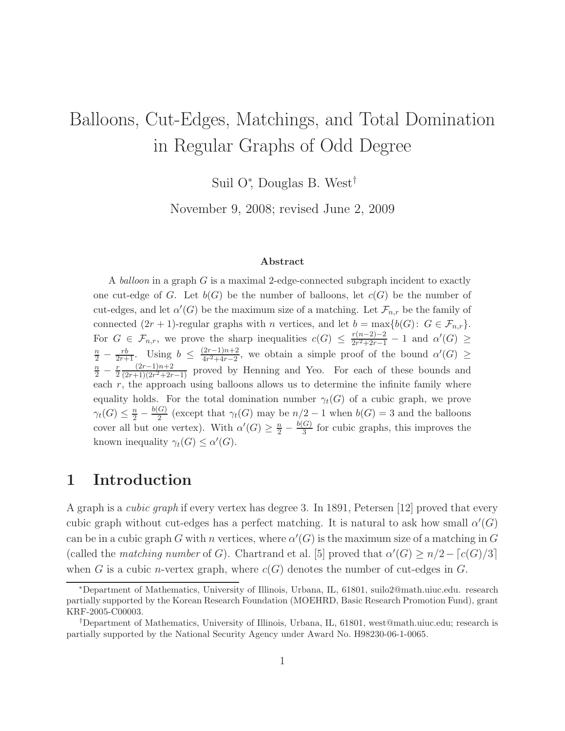# Balloons, Cut-Edges, Matchings, and Total Domination in Regular Graphs of Odd Degree

Suil O<sup>∗</sup> , Douglas B. West†

November 9, 2008; revised June 2, 2009

### Abstract

A balloon in a graph G is a maximal 2-edge-connected subgraph incident to exactly one cut-edge of G. Let  $b(G)$  be the number of balloons, let  $c(G)$  be the number of cut-edges, and let  $\alpha'(G)$  be the maximum size of a matching. Let  $\mathcal{F}_{n,r}$  be the family of connected  $(2r + 1)$ -regular graphs with n vertices, and let  $b = \max\{b(G): G \in \mathcal{F}_{n,r}\}.$ For  $G \in \mathcal{F}_{n,r}$ , we prove the sharp inequalities  $c(G) \leq \frac{r(n-2)-2}{2r^2+2r-1}$  $\frac{r(n-2)-2}{2r^2+2r-1} - 1$  and  $\alpha'(G) \ge$  $\frac{n}{2} - \frac{rb}{2r+1}$ . Using  $b \leq \frac{(2r-1)n+2}{4r^2+4r-2}$  $\frac{(2r-1)n+2}{4r^2+4r-2}$ , we obtain a simple proof of the bound  $\alpha'(G) \geq$  $\frac{n}{2} - \frac{r}{2}$ 2  $(2r-1)n+2$  $\frac{(2r-1)n+2}{(2r+1)(2r^2+2r-1)}$  proved by Henning and Yeo. For each of these bounds and each  $r$ , the approach using balloons allows us to determine the infinite family where equality holds. For the total domination number  $\gamma_t(G)$  of a cubic graph, we prove  $\gamma_t(G) \leq \frac{n}{2} - \frac{b(G)}{2}$  $\frac{G}{2}$  (except that  $\gamma_t(G)$  may be  $n/2 - 1$  when  $b(G) = 3$  and the balloons cover all but one vertex). With  $\alpha'(G) \geq \frac{n}{2} - \frac{b(G)}{3}$  $\frac{G}{3}$  for cubic graphs, this improves the known inequality  $\gamma_t(G) \leq \alpha'(G)$ .

### 1 Introduction

A graph is a cubic graph if every vertex has degree 3. In 1891, Petersen [12] proved that every cubic graph without cut-edges has a perfect matching. It is natural to ask how small  $\alpha'(G)$ can be in a cubic graph G with n vertices, where  $\alpha'(G)$  is the maximum size of a matching in G (called the *matching number* of G). Chartrand et al. [5] proved that  $\alpha'(G) \geq n/2 - \lfloor c(G)/3 \rfloor$ when G is a cubic *n*-vertex graph, where  $c(G)$  denotes the number of cut-edges in G.

<sup>∗</sup>Department of Mathematics, University of Illinois, Urbana, IL, 61801, suilo2@math.uiuc.edu. research partially supported by the Korean Research Foundation (MOEHRD, Basic Research Promotion Fund), grant KRF-2005-C00003.

<sup>†</sup>Department of Mathematics, University of Illinois, Urbana, IL, 61801, west@math.uiuc.edu; research is partially supported by the National Security Agency under Award No. H98230-06-1-0065.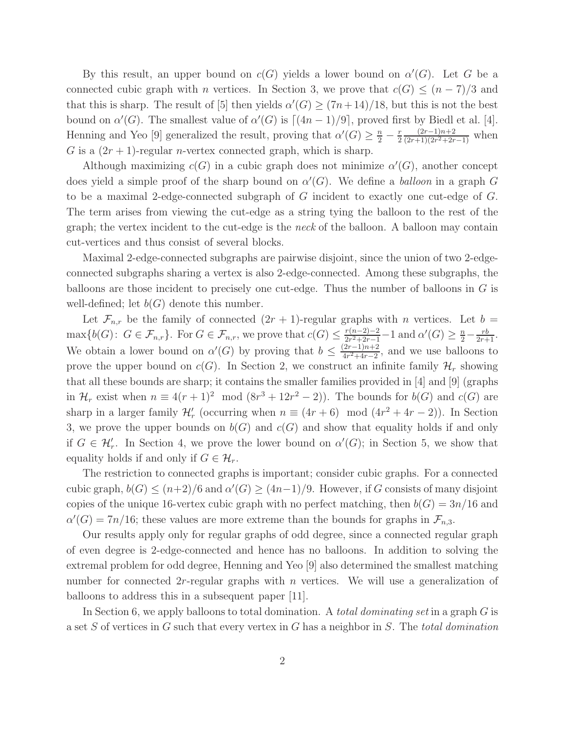By this result, an upper bound on  $c(G)$  yields a lower bound on  $\alpha'(G)$ . Let G be a connected cubic graph with n vertices. In Section 3, we prove that  $c(G) \leq (n-7)/3$  and that this is sharp. The result of [5] then yields  $\alpha'(G) \ge (7n+14)/18$ , but this is not the best bound on  $\alpha'(G)$ . The smallest value of  $\alpha'(G)$  is  $[(4n-1)/9]$ , proved first by Biedl et al. [4]. Henning and Yeo [9] generalized the result, proving that  $\alpha'(G) \geq \frac{n}{2} - \frac{r}{2}$ 2  $(2r-1)n+2$  $\frac{(2r-1)n+2}{(2r+1)(2r^2+2r-1)}$  when G is a  $(2r + 1)$ -regular *n*-vertex connected graph, which is sharp.

Although maximizing  $c(G)$  in a cubic graph does not minimize  $\alpha'(G)$ , another concept does yield a simple proof of the sharp bound on  $\alpha'(G)$ . We define a balloon in a graph G to be a maximal 2-edge-connected subgraph of G incident to exactly one cut-edge of G. The term arises from viewing the cut-edge as a string tying the balloon to the rest of the graph; the vertex incident to the cut-edge is the neck of the balloon. A balloon may contain cut-vertices and thus consist of several blocks.

Maximal 2-edge-connected subgraphs are pairwise disjoint, since the union of two 2-edgeconnected subgraphs sharing a vertex is also 2-edge-connected. Among these subgraphs, the balloons are those incident to precisely one cut-edge. Thus the number of balloons in G is well-defined; let  $b(G)$  denote this number.

Let  $\mathcal{F}_{n,r}$  be the family of connected  $(2r + 1)$ -regular graphs with n vertices. Let  $b =$  $\max\{b(G): G \in \mathcal{F}_{n,r}\}\$ . For  $G \in \mathcal{F}_{n,r}$ , we prove that  $c(G) \leq \frac{r(n-2)-2}{2r^2+2r-1}$  $\frac{r(n-2)-2}{2r^2+2r-1}-1$  and  $\alpha'(G) \geq \frac{n}{2} - \frac{rb}{2r+1}$ . We obtain a lower bound on  $\alpha'(G)$  by proving that  $b \leq \frac{(2r-1)n+2}{4r^2+4r-2}$  $\frac{(2r-1)n+2}{4r^2+4r-2}$ , and we use balloons to prove the upper bound on  $c(G)$ . In Section 2, we construct an infinite family  $\mathcal{H}_r$  showing that all these bounds are sharp; it contains the smaller families provided in [4] and [9] (graphs in  $\mathcal{H}_r$  exist when  $n \equiv 4(r+1)^2 \mod (8r^3+12r^2-2)$ . The bounds for  $b(G)$  and  $c(G)$  are sharp in a larger family  $\mathcal{H}'_r$  (occurring when  $n \equiv (4r+6) \mod (4r^2+4r-2)$ ). In Section 3, we prove the upper bounds on  $b(G)$  and  $c(G)$  and show that equality holds if and only if  $G \in \mathcal{H}'_r$ . In Section 4, we prove the lower bound on  $\alpha'(G)$ ; in Section 5, we show that equality holds if and only if  $G \in \mathcal{H}_r$ .

The restriction to connected graphs is important; consider cubic graphs. For a connected cubic graph,  $b(G) \le (n+2)/6$  and  $\alpha'(G) \ge (4n-1)/9$ . However, if G consists of many disjoint copies of the unique 16-vertex cubic graph with no perfect matching, then  $b(G) = 3n/16$  and  $\alpha'(G) = 7n/16$ ; these values are more extreme than the bounds for graphs in  $\mathcal{F}_{n,3}$ .

Our results apply only for regular graphs of odd degree, since a connected regular graph of even degree is 2-edge-connected and hence has no balloons. In addition to solving the extremal problem for odd degree, Henning and Yeo [9] also determined the smallest matching number for connected  $2r$ -regular graphs with n vertices. We will use a generalization of balloons to address this in a subsequent paper [11].

In Section 6, we apply balloons to total domination. A *total dominating set* in a graph  $G$  is a set S of vertices in G such that every vertex in G has a neighbor in S. The total domination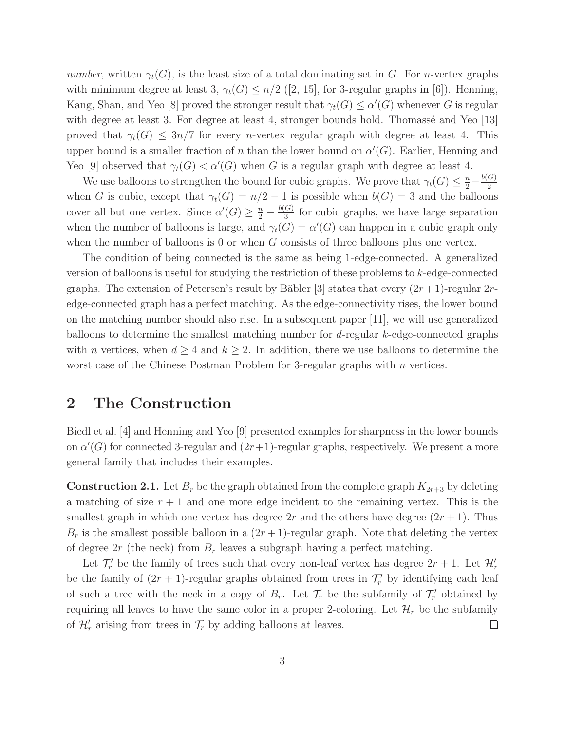number, written  $\gamma_t(G)$ , is the least size of a total dominating set in G. For n-vertex graphs with minimum degree at least 3,  $\gamma_t(G) \leq n/2$  ([2, 15], for 3-regular graphs in [6]). Henning, Kang, Shan, and Yeo [8] proved the stronger result that  $\gamma_t(G) \leq \alpha'(G)$  whenever G is regular with degree at least 3. For degree at least 4, stronger bounds hold. Thomassé and Yeo  $[13]$ proved that  $\gamma_t(G) \leq 3n/7$  for every *n*-vertex regular graph with degree at least 4. This upper bound is a smaller fraction of n than the lower bound on  $\alpha'(G)$ . Earlier, Henning and Yeo [9] observed that  $\gamma_t(G) < \alpha'(G)$  when G is a regular graph with degree at least 4.

We use balloons to strengthen the bound for cubic graphs. We prove that  $\gamma_t(G) \leq \frac{n}{2} - \frac{b(G)}{2}$ 2 when G is cubic, except that  $\gamma_t(G) = n/2 - 1$  is possible when  $b(G) = 3$  and the balloons cover all but one vertex. Since  $\alpha'(G) \geq \frac{n}{2} - \frac{b(G)}{3}$  $\frac{G}{3}$  for cubic graphs, we have large separation when the number of balloons is large, and  $\gamma_t(G) = \alpha'(G)$  can happen in a cubic graph only when the number of balloons is 0 or when  $G$  consists of three balloons plus one vertex.

The condition of being connected is the same as being 1-edge-connected. A generalized version of balloons is useful for studying the restriction of these problems to k-edge-connected graphs. The extension of Petersen's result by Bäbler [3] states that every  $(2r+1)$ -regular 2redge-connected graph has a perfect matching. As the edge-connectivity rises, the lower bound on the matching number should also rise. In a subsequent paper [11], we will use generalized balloons to determine the smallest matching number for d-regular k-edge-connected graphs with *n* vertices, when  $d \geq 4$  and  $k \geq 2$ . In addition, there we use balloons to determine the worst case of the Chinese Postman Problem for 3-regular graphs with  $n$  vertices.

# 2 The Construction

Biedl et al. [4] and Henning and Yeo [9] presented examples for sharpness in the lower bounds on  $\alpha'(G)$  for connected 3-regular and  $(2r+1)$ -regular graphs, respectively. We present a more general family that includes their examples.

**Construction 2.1.** Let  $B_r$  be the graph obtained from the complete graph  $K_{2r+3}$  by deleting a matching of size  $r + 1$  and one more edge incident to the remaining vertex. This is the smallest graph in which one vertex has degree  $2r$  and the others have degree  $(2r + 1)$ . Thus  $B_r$  is the smallest possible balloon in a  $(2r+1)$ -regular graph. Note that deleting the vertex of degree  $2r$  (the neck) from  $B_r$  leaves a subgraph having a perfect matching.

Let  $\mathcal{T}'_r$  be the family of trees such that every non-leaf vertex has degree  $2r + 1$ . Let  $\mathcal{H}'_r$ be the family of  $(2r + 1)$ -regular graphs obtained from trees in  $\mathcal{T}'_r$  by identifying each leaf of such a tree with the neck in a copy of  $B_r$ . Let  $\mathcal{T}_r$  be the subfamily of  $\mathcal{T}'_r$  obtained by requiring all leaves to have the same color in a proper 2-coloring. Let  $\mathcal{H}_r$  be the subfamily of  $\mathcal{H}'_r$  arising from trees in  $\mathcal{T}_r$  by adding balloons at leaves. □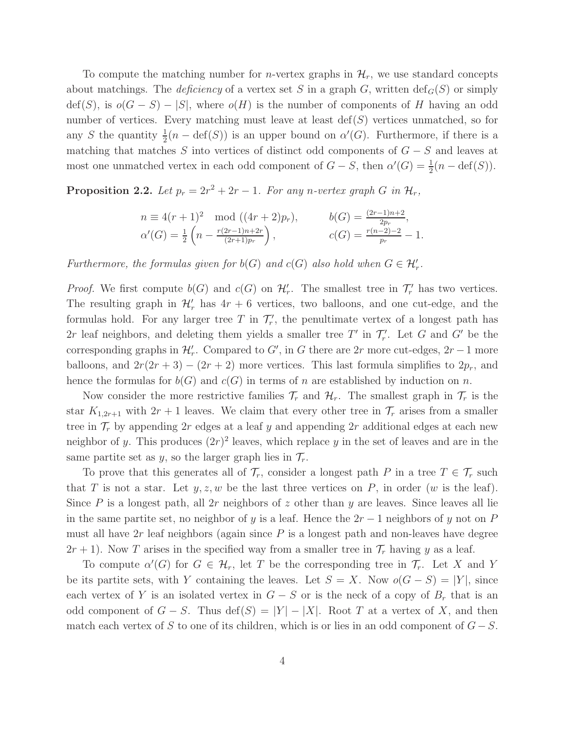To compute the matching number for *n*-vertex graphs in  $\mathcal{H}_r$ , we use standard concepts about matchings. The *deficiency* of a vertex set S in a graph G, written  $\text{def}_G(S)$  or simply  $\text{def}(S)$ , is  $o(G-S) - |S|$ , where  $o(H)$  is the number of components of H having an odd number of vertices. Every matching must leave at least  $\text{def}(S)$  vertices unmatched, so for any S the quantity  $\frac{1}{2}(n - \text{def}(S))$  is an upper bound on  $\alpha'(G)$ . Furthermore, if there is a matching that matches S into vertices of distinct odd components of  $G - S$  and leaves at most one unmatched vertex in each odd component of  $G - S$ , then  $\alpha'(G) = \frac{1}{2}(n - \text{def}(S))$ .

**Proposition 2.2.** Let  $p_r = 2r^2 + 2r - 1$ . For any n-vertex graph G in  $\mathcal{H}_r$ ,

$$
n \equiv 4(r+1)^2 \mod ((4r+2)p_r), \qquad b(G) = \frac{(2r-1)n+2}{2p_r},
$$
  
\n
$$
\alpha'(G) = \frac{1}{2} \left( n - \frac{r(2r-1)n+2r}{(2r+1)p_r} \right), \qquad c(G) = \frac{r(n-2)-2}{p_r} - 1.
$$

Furthermore, the formulas given for  $b(G)$  and  $c(G)$  also hold when  $G \in \mathcal{H}'_r$ .

*Proof.* We first compute  $b(G)$  and  $c(G)$  on  $\mathcal{H}'_r$ . The smallest tree in  $\mathcal{T}'_r$  has two vertices. The resulting graph in  $\mathcal{H}'_r$  has  $4r + 6$  vertices, two balloons, and one cut-edge, and the formulas hold. For any larger tree T in  $\mathcal{T}'_r$ , the penultimate vertex of a longest path has 2r leaf neighbors, and deleting them yields a smaller tree  $T'$  in  $\mathcal{T}'_r$ . Let G and G' be the corresponding graphs in  $\mathcal{H}'_r$ . Compared to G', in G there are 2r more cut-edges, 2r – 1 more balloons, and  $2r(2r+3) - (2r+2)$  more vertices. This last formula simplifies to  $2p_r$ , and hence the formulas for  $b(G)$  and  $c(G)$  in terms of n are established by induction on n.

Now consider the more restrictive families  $\mathcal{T}_r$  and  $\mathcal{H}_r$ . The smallest graph in  $\mathcal{T}_r$  is the star  $K_{1,2r+1}$  with  $2r+1$  leaves. We claim that every other tree in  $\mathcal{T}_r$  arises from a smaller tree in  $\mathcal{T}_r$  by appending 2r edges at a leaf y and appending 2r additional edges at each new neighbor of y. This produces  $(2r)^2$  leaves, which replace y in the set of leaves and are in the same partite set as y, so the larger graph lies in  $\mathcal{T}_r$ .

To prove that this generates all of  $\mathcal{T}_r$ , consider a longest path P in a tree  $T \in \mathcal{T}_r$  such that T is not a star. Let  $y, z, w$  be the last three vertices on P, in order (w is the leaf). Since P is a longest path, all 2r neighbors of z other than y are leaves. Since leaves all lie in the same partite set, no neighbor of y is a leaf. Hence the  $2r - 1$  neighbors of y not on P must all have  $2r$  leaf neighbors (again since  $P$  is a longest path and non-leaves have degree  $2r + 1$ ). Now T arises in the specified way from a smaller tree in  $\mathcal{T}_r$  having y as a leaf.

To compute  $\alpha'(G)$  for  $G \in \mathcal{H}_r$ , let T be the corresponding tree in  $\mathcal{T}_r$ . Let X and Y be its partite sets, with Y containing the leaves. Let  $S = X$ . Now  $o(G - S) = |Y|$ , since each vertex of Y is an isolated vertex in  $G - S$  or is the neck of a copy of  $B_r$  that is an odd component of  $G - S$ . Thus  $\text{def}(S) = |Y| - |X|$ . Root T at a vertex of X, and then match each vertex of S to one of its children, which is or lies in an odd component of  $G - S$ .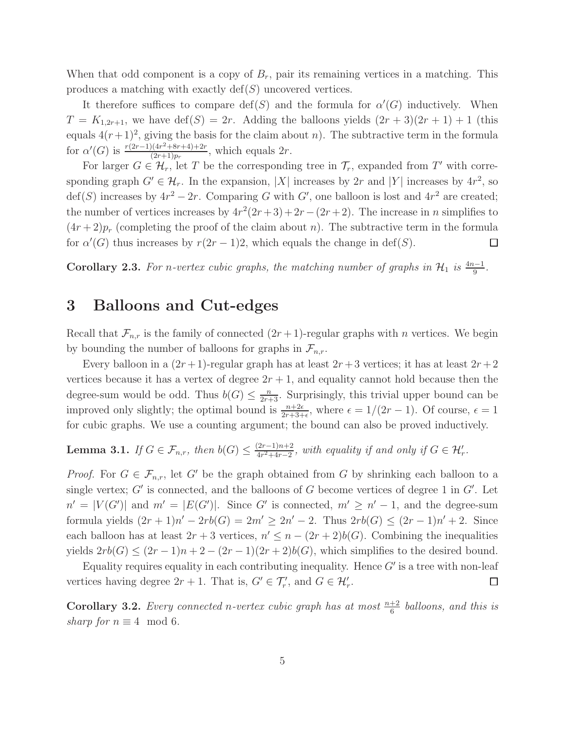When that odd component is a copy of  $B_r$ , pair its remaining vertices in a matching. This produces a matching with exactly  $\text{def}(S)$  uncovered vertices.

It therefore suffices to compare  $\text{def}(S)$  and the formula for  $\alpha'(G)$  inductively. When  $T = K_{1,2r+1}$ , we have  $\text{def}(S) = 2r$ . Adding the balloons yields  $(2r+3)(2r+1) + 1$  (this equals  $4(r+1)^2$ , giving the basis for the claim about n). The subtractive term in the formula for  $\alpha'(G)$  is  $\frac{r(2r-1)(4r^2+8r+4)+2r}{(2r+1)n}$  $\frac{((4r^2+8r+4)+2r)}{(2r+1)p_r}$ , which equals  $2r$ .

For larger  $G \in \mathcal{H}_r$ , let T be the corresponding tree in  $\mathcal{T}_r$ , expanded from T' with corresponding graph  $G' \in \mathcal{H}_r$ . In the expansion, |X| increases by 2r and |Y| increases by  $4r^2$ , so  $\text{def}(S)$  increases by  $4r^2 - 2r$ . Comparing G with G', one balloon is lost and  $4r^2$  are created; the number of vertices increases by  $4r^2(2r+3)+2r-(2r+2)$ . The increase in n simplifies to  $(4r+2)p_r$  (completing the proof of the claim about n). The subtractive term in the formula for  $\alpha'(G)$  thus increases by  $r(2r-1)2$ , which equals the change in def(S).  $\Box$ 

Corollary 2.3. For n-vertex cubic graphs, the matching number of graphs in  $\mathcal{H}_1$  is  $\frac{4n-1}{9}$ .

### 3 Balloons and Cut-edges

Recall that  $\mathcal{F}_{n,r}$  is the family of connected  $(2r+1)$ -regular graphs with n vertices. We begin by bounding the number of balloons for graphs in  $\mathcal{F}_{n,r}$ .

Every balloon in a  $(2r+1)$ -regular graph has at least  $2r+3$  vertices; it has at least  $2r+2$ vertices because it has a vertex of degree  $2r + 1$ , and equality cannot hold because then the degree-sum would be odd. Thus  $b(G) \leq \frac{n}{2r+3}$ . Surprisingly, this trivial upper bound can be improved only slightly; the optimal bound is  $\frac{n+2\epsilon}{2r+3+\epsilon}$ , where  $\epsilon = 1/(2r-1)$ . Of course,  $\epsilon = 1$ for cubic graphs. We use a counting argument; the bound can also be proved inductively.

**Lemma 3.1.** If  $G \in \mathcal{F}_{n,r}$ , then  $b(G) \leq \frac{(2r-1)n+2}{4r^2+4r-2}$  $\frac{(2r-1)n+2}{4r^2+4r-2}$ , with equality if and only if  $G \in \mathcal{H}'_r$ .

*Proof.* For  $G \in \mathcal{F}_{n,r}$ , let G' be the graph obtained from G by shrinking each balloon to a single vertex;  $G'$  is connected, and the balloons of  $G$  become vertices of degree 1 in  $G'$ . Let  $n' = |V(G')|$  and  $m' = |E(G')|$ . Since G' is connected,  $m' \ge n' - 1$ , and the degree-sum formula yields  $(2r + 1)n' - 2rb(G) = 2m' \ge 2n' - 2$ . Thus  $2rb(G) \le (2r - 1)n' + 2$ . Since each balloon has at least  $2r + 3$  vertices,  $n' \leq n - (2r + 2)b(G)$ . Combining the inequalities yields  $2rb(G) \le (2r-1)n + 2 - (2r-1)(2r+2)b(G)$ , which simplifies to the desired bound.

Equality requires equality in each contributing inequality. Hence  $G'$  is a tree with non-leaf vertices having degree  $2r + 1$ . That is,  $G' \in \mathcal{T}'_r$ , and  $G \in \mathcal{H}'_r$ .  $\Box$ 

**Corollary 3.2.** Every connected n-vertex cubic graph has at most  $\frac{n+2}{6}$  balloons, and this is sharp for  $n \equiv 4 \mod 6$ .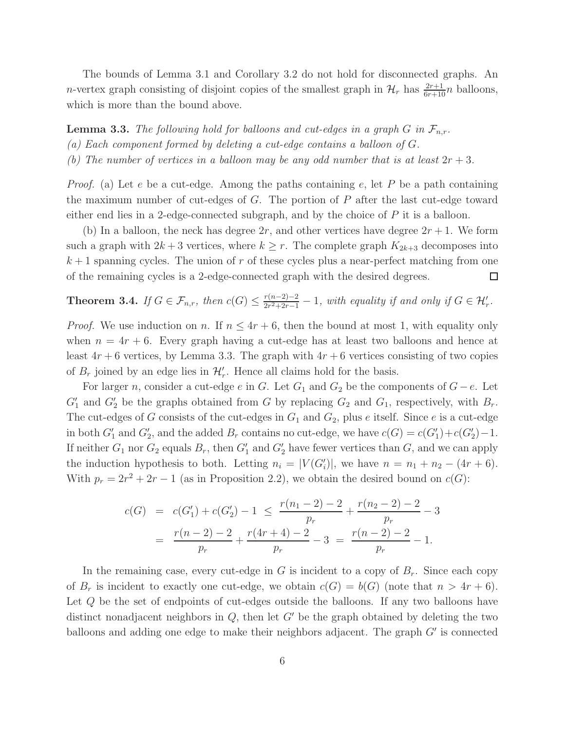The bounds of Lemma 3.1 and Corollary 3.2 do not hold for disconnected graphs. An *n*-vertex graph consisting of disjoint copies of the smallest graph in  $\mathcal{H}_r$  has  $\frac{2r+1}{6r+10}n$  balloons, which is more than the bound above.

**Lemma 3.3.** The following hold for balloons and cut-edges in a graph G in  $\mathcal{F}_{n,r}$ . (a) Each component formed by deleting a cut-edge contains a balloon of G. (b) The number of vertices in a balloon may be any odd number that is at least  $2r + 3$ .

*Proof.* (a) Let  $e$  be a cut-edge. Among the paths containing  $e$ , let  $P$  be a path containing the maximum number of cut-edges of  $G$ . The portion of  $P$  after the last cut-edge toward either end lies in a 2-edge-connected subgraph, and by the choice of  $P$  it is a balloon.

(b) In a balloon, the neck has degree  $2r$ , and other vertices have degree  $2r + 1$ . We form such a graph with  $2k+3$  vertices, where  $k \geq r$ . The complete graph  $K_{2k+3}$  decomposes into  $k+1$  spanning cycles. The union of r of these cycles plus a near-perfect matching from one of the remaining cycles is a 2-edge-connected graph with the desired degrees.  $\Box$ 

### **Theorem 3.4.** If  $G \in \mathcal{F}_{n,r}$ , then  $c(G) \leq \frac{r(n-2)-2}{2r^2+2r-1}$  $\frac{r(n-2)-2}{2r^2+2r-1}-1$ , with equality if and only if  $G \in \mathcal{H}'_r$ .

*Proof.* We use induction on n. If  $n \leq 4r + 6$ , then the bound at most 1, with equality only when  $n = 4r + 6$ . Every graph having a cut-edge has at least two balloons and hence at least  $4r + 6$  vertices, by Lemma 3.3. The graph with  $4r + 6$  vertices consisting of two copies of  $B_r$  joined by an edge lies in  $\mathcal{H}'_r$ . Hence all claims hold for the basis.

For larger n, consider a cut-edge e in G. Let  $G_1$  and  $G_2$  be the components of  $G-e$ . Let  $G'_{1}$  and  $G'_{2}$  be the graphs obtained from G by replacing  $G_{2}$  and  $G_{1}$ , respectively, with  $B_{r}$ . The cut-edges of G consists of the cut-edges in  $G_1$  and  $G_2$ , plus e itself. Since e is a cut-edge in both  $G'_1$  and  $G'_2$ , and the added  $B_r$  contains no cut-edge, we have  $c(G) = c(G'_1) + c(G'_2) - 1$ . If neither  $G_1$  nor  $G_2$  equals  $B_r$ , then  $G'_1$  and  $G'_2$  have fewer vertices than  $G$ , and we can apply the induction hypothesis to both. Letting  $n_i = |V(G'_i)|$ , we have  $n = n_1 + n_2 - (4r + 6)$ . With  $p_r = 2r^2 + 2r - 1$  (as in Proposition 2.2), we obtain the desired bound on  $c(G)$ :

$$
c(G) = c(G'_1) + c(G'_2) - 1 \le \frac{r(n_1 - 2) - 2}{p_r} + \frac{r(n_2 - 2) - 2}{p_r} - 3
$$
  
= 
$$
\frac{r(n-2) - 2}{p_r} + \frac{r(4r + 4) - 2}{p_r} - 3 = \frac{r(n-2) - 2}{p_r} - 1.
$$

In the remaining case, every cut-edge in G is incident to a copy of  $B_r$ . Since each copy of  $B_r$  is incident to exactly one cut-edge, we obtain  $c(G) = b(G)$  (note that  $n > 4r + 6$ ). Let Q be the set of endpoints of cut-edges outside the balloons. If any two balloons have distinct nonadjacent neighbors in  $Q$ , then let  $G'$  be the graph obtained by deleting the two balloons and adding one edge to make their neighbors adjacent. The graph  $G'$  is connected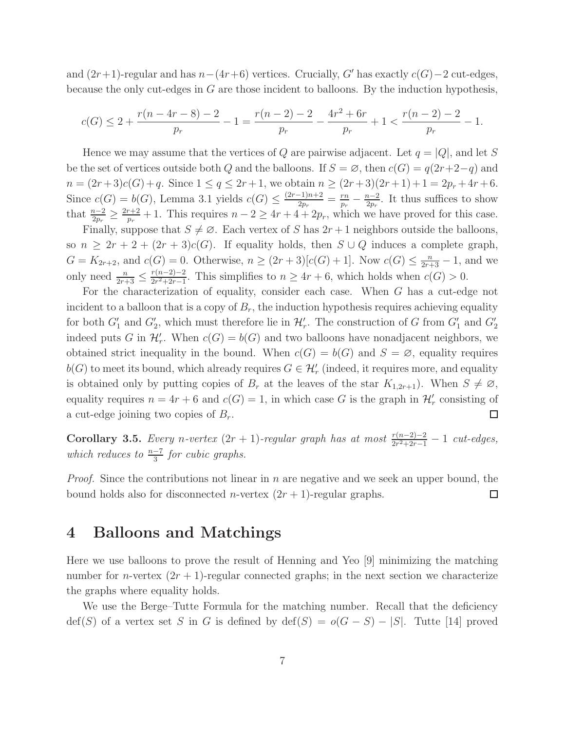and  $(2r+1)$ -regular and has  $n-(4r+6)$  vertices. Crucially, G' has exactly  $c(G)-2$  cut-edges, because the only cut-edges in  $G$  are those incident to balloons. By the induction hypothesis,

$$
c(G) \le 2 + \frac{r(n-4r-8)-2}{p_r} - 1 = \frac{r(n-2)-2}{p_r} - \frac{4r^2+6r}{p_r} + 1 < \frac{r(n-2)-2}{p_r} - 1.
$$

Hence we may assume that the vertices of Q are pairwise adjacent. Let  $q = |Q|$ , and let S be the set of vertices outside both Q and the balloons. If  $S = \emptyset$ , then  $c(G) = q(2r+2-q)$  and  $n = (2r+3)c(G) + q$ . Since  $1 \le q \le 2r+1$ , we obtain  $n \ge (2r+3)(2r+1) + 1 = 2p_r + 4r + 6$ . Since  $c(G) = b(G)$ , Lemma 3.1 yields  $c(G) \leq \frac{(2r-1)n+2}{2n}$  $\frac{-1)n+2}{2p_r}=\frac{rn}{p_r}$  $\frac{rn}{p_r} - \frac{n-2}{2p_r}$  $\frac{n-2}{2p_r}$ . It thus suffices to show that  $\frac{n-2}{2p_r} \geq \frac{2r+2}{p_r}$  $\frac{r+2}{p_r}+1$ . This requires  $n-2 \geq 4r+4+2p_r$ , which we have proved for this case.

Finally, suppose that  $S \neq \emptyset$ . Each vertex of S has  $2r + 1$  neighbors outside the balloons, so  $n \geq 2r + 2 + (2r + 3)c(G)$ . If equality holds, then  $S \cup Q$  induces a complete graph,  $G = K_{2r+2}$ , and  $c(G) = 0$ . Otherwise,  $n \ge (2r+3)[c(G)+1]$ . Now  $c(G) \le \frac{n}{2r+3} - 1$ , and we only need  $\frac{n}{2r+3} \leq \frac{r(n-2)-2}{2r^2+2r-1}$  $\frac{r(n-2)-2}{2r^2+2r-1}$ . This simplifies to  $n \geq 4r+6$ , which holds when  $c(G) > 0$ .

For the characterization of equality, consider each case. When G has a cut-edge not incident to a balloon that is a copy of  $B_r$ , the induction hypothesis requires achieving equality for both  $G'_1$  and  $G'_2$ , which must therefore lie in  $\mathcal{H}'_r$ . The construction of G from  $G'_1$  and  $G'_2$ indeed puts G in  $\mathcal{H}'_r$ . When  $c(G) = b(G)$  and two balloons have nonadjacent neighbors, we obtained strict inequality in the bound. When  $c(G) = b(G)$  and  $S = \emptyset$ , equality requires  $b(G)$  to meet its bound, which already requires  $G \in \mathcal{H}'_r$  (indeed, it requires more, and equality is obtained only by putting copies of  $B_r$  at the leaves of the star  $K_{1,2r+1}$ ). When  $S \neq \emptyset$ , equality requires  $n = 4r + 6$  and  $c(G) = 1$ , in which case G is the graph in  $\mathcal{H}'_r$  consisting of a cut-edge joining two copies of  $B_r$ .  $\Box$ 

**Corollary 3.5.** Every n-vertex  $(2r + 1)$ -regular graph has at most  $\frac{r(n-2)-2}{2r^2+2r-1} - 1$  cut-edges, which reduces to  $\frac{n-7}{3}$  for cubic graphs.

*Proof.* Since the contributions not linear in  $n$  are negative and we seek an upper bound, the bound holds also for disconnected *n*-vertex  $(2r + 1)$ -regular graphs.  $\Box$ 

# 4 Balloons and Matchings

Here we use balloons to prove the result of Henning and Yeo [9] minimizing the matching number for *n*-vertex  $(2r + 1)$ -regular connected graphs; in the next section we characterize the graphs where equality holds.

We use the Berge–Tutte Formula for the matching number. Recall that the deficiency  $\text{def}(S)$  of a vertex set S in G is defined by  $\text{def}(S) = o(G - S) - |S|$ . Tutte [14] proved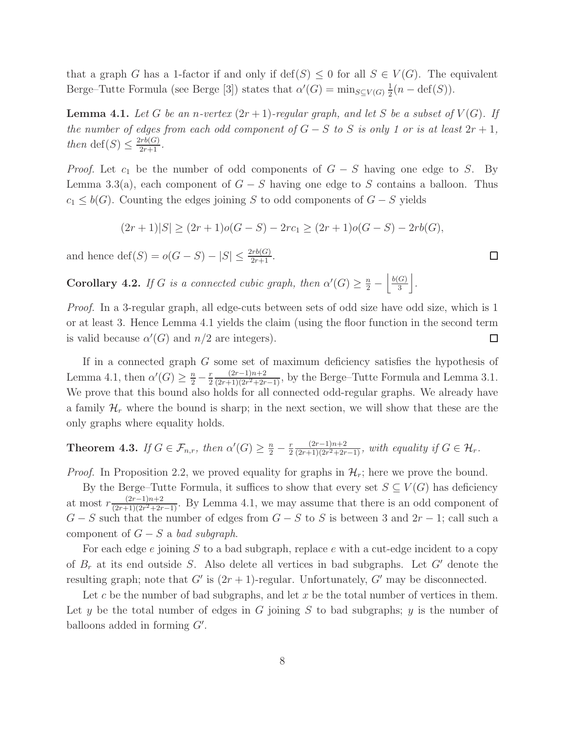that a graph G has a 1-factor if and only if  $\text{def}(S) \leq 0$  for all  $S \in V(G)$ . The equivalent Berge–Tutte Formula (see Berge [3]) states that  $\alpha'(G) = \min_{S \subseteq V(G)} \frac{1}{2}$  $\frac{1}{2}(n - \text{def}(S)).$ 

**Lemma 4.1.** Let G be an n-vertex  $(2r + 1)$ -regular graph, and let S be a subset of  $V(G)$ . If the number of edges from each odd component of  $G-S$  to S is only 1 or is at least  $2r+1$ , then def(S)  $\leq \frac{2rb(G)}{2r+1}$ .

*Proof.* Let  $c_1$  be the number of odd components of  $G - S$  having one edge to S. By Lemma 3.3(a), each component of  $G - S$  having one edge to S contains a balloon. Thus  $c_1 \leq b(G)$ . Counting the edges joining S to odd components of  $G - S$  yields

$$
(2r+1)|S| \ge (2r+1)o(G-S) - 2rc_1 \ge (2r+1)o(G-S) - 2rb(G),
$$

and hence  $\text{def}(S) = o(G - S) - |S| \le \frac{2rb(G)}{2r+1}$ .

**Corollary 4.2.** If G is a connected cubic graph, then  $\alpha'(G) \geq \frac{n}{2} - \left\lfloor \frac{b(G)}{3} \right\rfloor$  $\frac{(G)}{3}$ .

Proof. In a 3-regular graph, all edge-cuts between sets of odd size have odd size, which is 1 or at least 3. Hence Lemma 4.1 yields the claim (using the floor function in the second term is valid because  $\alpha'(G)$  and  $n/2$  are integers).  $\Box$ 

If in a connected graph G some set of maximum deficiency satisfies the hypothesis of Lemma 4.1, then  $\alpha'(G) \geq \frac{n}{2} - \frac{r}{2}$ 2  $(2r-1)n+2$  $\frac{(2r-1)n+2}{(2r+1)(2r^2+2r-1)}$ , by the Berge–Tutte Formula and Lemma 3.1. We prove that this bound also holds for all connected odd-regular graphs. We already have a family  $\mathcal{H}_r$  where the bound is sharp; in the next section, we will show that these are the only graphs where equality holds.

#### **Theorem 4.3.** If  $G \in \mathcal{F}_{n,r}$ , then  $\alpha'(G) \geq \frac{n}{2} - \frac{r}{2}$ 2  $(2r-1)n+2$  $\frac{(2r-1)n+2}{(2r+1)(2r^2+2r-1)}$ , with equality if  $G \in \mathcal{H}_r$ .

*Proof.* In Proposition 2.2, we proved equality for graphs in  $\mathcal{H}_r$ ; here we prove the bound.

By the Berge–Tutte Formula, it suffices to show that every set  $S \subseteq V(G)$  has deficiency at most  $r \frac{(2r-1)n+2}{(2r+1)(2r^2+2r)}$  $\frac{(2r-1)n+2}{(2r+1)(2r^2+2r-1)}$ . By Lemma 4.1, we may assume that there is an odd component of  $G - S$  such that the number of edges from  $G - S$  to S is between 3 and  $2r - 1$ ; call such a component of  $G - S$  a bad subgraph.

For each edge e joining S to a bad subgraph, replace e with a cut-edge incident to a copy of  $B_r$  at its end outside S. Also delete all vertices in bad subgraphs. Let G' denote the resulting graph; note that  $G'$  is  $(2r + 1)$ -regular. Unfortunately,  $G'$  may be disconnected.

Let c be the number of bad subgraphs, and let x be the total number of vertices in them. Let y be the total number of edges in G joining S to bad subgraphs; y is the number of balloons added in forming  $G'$ .

□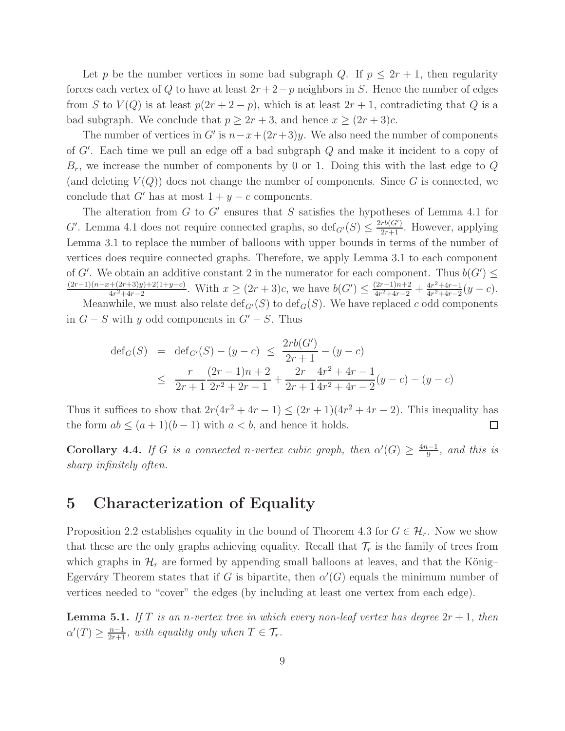Let p be the number vertices in some bad subgraph Q. If  $p \leq 2r + 1$ , then regularity forces each vertex of Q to have at least  $2r + 2 - p$  neighbors in S. Hence the number of edges from S to  $V(Q)$  is at least  $p(2r + 2 - p)$ , which is at least  $2r + 1$ , contradicting that Q is a bad subgraph. We conclude that  $p \geq 2r + 3$ , and hence  $x \geq (2r + 3)c$ .

The number of vertices in G' is  $n-x+(2r+3)y$ . We also need the number of components of G′ . Each time we pull an edge off a bad subgraph Q and make it incident to a copy of  $B_r$ , we increase the number of components by 0 or 1. Doing this with the last edge to  $Q$ (and deleting  $V(Q)$ ) does not change the number of components. Since G is connected, we conclude that G' has at most  $1 + y - c$  components.

The alteration from  $G$  to  $G'$  ensures that  $S$  satisfies the hypotheses of Lemma 4.1 for G'. Lemma 4.1 does not require connected graphs, so  $\text{def}_{G'}(S) \leq \frac{2rb(G')}{2r+1}$ . However, applying Lemma 3.1 to replace the number of balloons with upper bounds in terms of the number of vertices does require connected graphs. Therefore, we apply Lemma 3.1 to each component of G'. We obtain an additive constant 2 in the numerator for each component. Thus  $b(G') \leq$  $(2r-1)(n-x+(2r+3)y)+2(1+y-c)$  $\frac{+(2r+3)y)+2(1+y-c)}{4r^2+4r-2}$ . With  $x \ge (2r+3)c$ , we have  $b(G') \le \frac{(2r-1)n+2}{4r^2+4r-2}$  $\frac{(2r-1)n+2}{4r^2+4r-2}+\frac{4r^2+4r-1}{4r^2+4r-2}$  $\frac{4r^2+4r-1}{4r^2+4r-2}(y-c).$ 

Meanwhile, we must also relate  $\text{def}_{G'}(S)$  to  $\text{def}_{G}(S)$ . We have replaced c odd components in  $G - S$  with y odd components in  $G' - S$ . Thus

$$
def_G(S) = def_{G'}(S) - (y - c) \le \frac{2rb(G')}{2r+1} - (y - c)
$$
  
 
$$
\le \frac{r}{2r+1} \frac{(2r-1)n+2}{2r^2+2r-1} + \frac{2r}{2r+1} \frac{4r^2+4r-1}{4r^2+4r-2} (y - c) - (y - c)
$$

Thus it suffices to show that  $2r(4r^2+4r-1) \le (2r+1)(4r^2+4r-2)$ . This inequality has the form  $ab \leq (a+1)(b-1)$  with  $a < b$ , and hence it holds.  $\Box$ 

**Corollary 4.4.** If G is a connected n-vertex cubic graph, then  $\alpha'(G) \geq \frac{4n-1}{9}$  $rac{b-1}{9}$ , and this is sharp infinitely often.

# 5 Characterization of Equality

Proposition 2.2 establishes equality in the bound of Theorem 4.3 for  $G \in \mathcal{H}_r$ . Now we show that these are the only graphs achieving equality. Recall that  $\mathcal{T}_r$  is the family of trees from which graphs in  $\mathcal{H}_r$  are formed by appending small balloons at leaves, and that the König– Egerváry Theorem states that if G is bipartite, then  $\alpha'(G)$  equals the minimum number of vertices needed to "cover" the edges (by including at least one vertex from each edge).

**Lemma 5.1.** If T is an n-vertex tree in which every non-leaf vertex has degree  $2r + 1$ , then  $\alpha'(T) \geq \frac{n-1}{2r+1}$ , with equality only when  $T \in \mathcal{T}_r$ .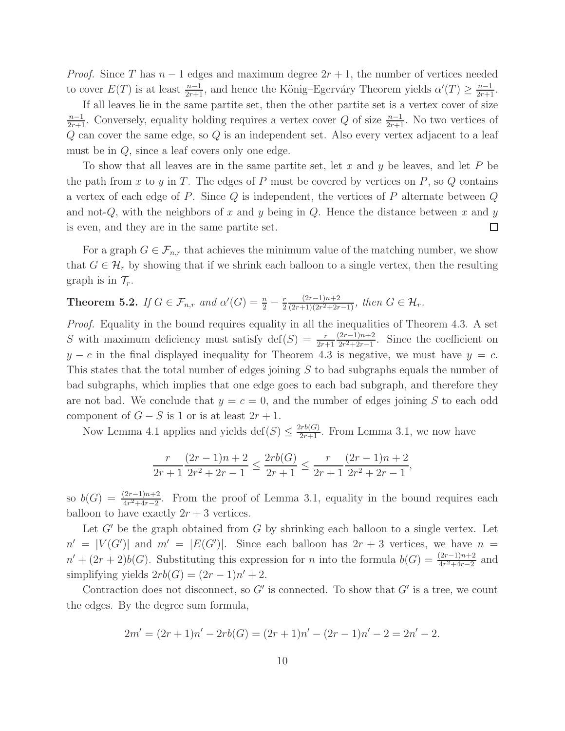*Proof.* Since T has  $n-1$  edges and maximum degree  $2r+1$ , the number of vertices needed to cover  $E(T)$  is at least  $\frac{n-1}{2r+1}$ , and hence the König–Egerváry Theorem yields  $\alpha'(T) \geq \frac{n-1}{2r+1}$ .

If all leaves lie in the same partite set, then the other partite set is a vertex cover of size  $\frac{n-1}{2r+1}$ . Conversely, equality holding requires a vertex cover Q of size  $\frac{n-1}{2r+1}$ . No two vertices of Q can cover the same edge, so Q is an independent set. Also every vertex adjacent to a leaf must be in Q, since a leaf covers only one edge.

To show that all leaves are in the same partite set, let  $x$  and  $y$  be leaves, and let  $P$  be the path from x to y in T. The edges of P must be covered by vertices on  $P$ , so  $Q$  contains a vertex of each edge of P. Since  $Q$  is independent, the vertices of P alternate between  $Q$ and not-Q, with the neighbors of x and y being in Q. Hence the distance between x and y is even, and they are in the same partite set.  $\Box$ 

For a graph  $G \in \mathcal{F}_{n,r}$  that achieves the minimum value of the matching number, we show that  $G \in \mathcal{H}_r$  by showing that if we shrink each balloon to a single vertex, then the resulting graph is in  $\mathcal{T}_r$ .

#### **Theorem 5.2.** If  $G \in \mathcal{F}_{n,r}$  and  $\alpha'(G) = \frac{n}{2} - \frac{r}{2}$ 2  $(2r-1)n+2$  $\frac{(2r-1)n+2}{(2r+1)(2r^2+2r-1)}$ , then  $G \in \mathcal{H}_r$ .

Proof. Equality in the bound requires equality in all the inequalities of Theorem 4.3. A set S with maximum deficiency must satisfy  $\text{def}(S) = \frac{r}{2r+1}$  $(2r-1)n+2$  $\frac{2r-1}{r^2+2r-1}$ . Since the coefficient on  $y - c$  in the final displayed inequality for Theorem 4.3 is negative, we must have  $y = c$ . This states that the total number of edges joining S to bad subgraphs equals the number of bad subgraphs, which implies that one edge goes to each bad subgraph, and therefore they are not bad. We conclude that  $y = c = 0$ , and the number of edges joining S to each odd component of  $G - S$  is 1 or is at least  $2r + 1$ .

Now Lemma 4.1 applies and yields  $\text{def}(S) \leq \frac{2rb(G)}{2r+1}$ . From Lemma 3.1, we now have

$$
\frac{r}{2r+1} \frac{(2r-1)n+2}{2r^2+2r-1} \le \frac{2rb(G)}{2r+1} \le \frac{r}{2r+1} \frac{(2r-1)n+2}{2r^2+2r-1},
$$

so  $b(G) = \frac{(2r-1)n+2}{4r^2+4r-2}$ . From the proof of Lemma 3.1, equality in the bound requires each balloon to have exactly  $2r + 3$  vertices.

Let  $G'$  be the graph obtained from G by shrinking each balloon to a single vertex. Let  $n' = |V(G')|$  and  $m' = |E(G')|$ . Since each balloon has  $2r + 3$  vertices, we have  $n =$  $n' + (2r + 2)b(G)$ . Substituting this expression for *n* into the formula  $b(G) = \frac{(2r-1)n+2}{4r^2+4r-2}$  and simplifying yields  $2rb(G) = (2r - 1)n' + 2$ .

Contraction does not disconnect, so  $G'$  is connected. To show that  $G'$  is a tree, we count the edges. By the degree sum formula,

$$
2m' = (2r + 1)n' - 2rb(G) = (2r + 1)n' - (2r - 1)n' - 2 = 2n' - 2.
$$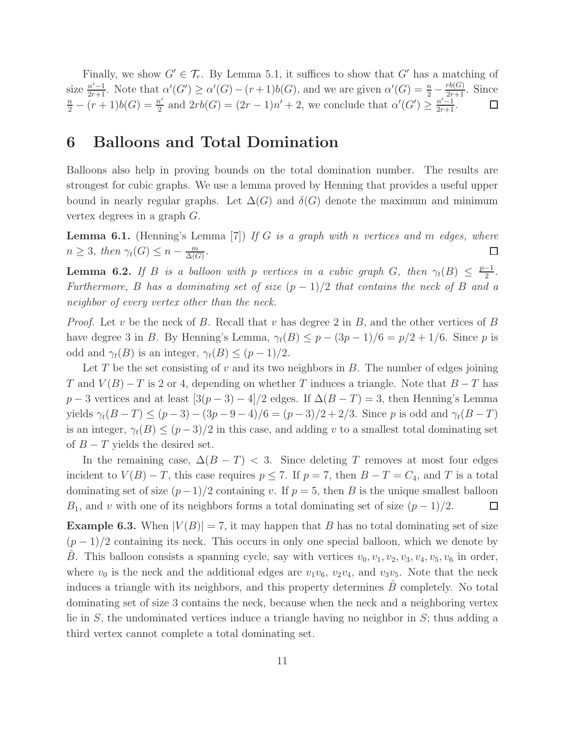Finally, we show  $G' \in \mathcal{T}_r$ . By Lemma 5.1, it suffices to show that G' has a matching of size  $\frac{n'-1}{2r+1}$ . Note that  $\alpha'(G') \ge \alpha'(G) - (r+1)b(G)$ , and we are given  $\alpha'(G) = \frac{n}{2} - \frac{rb(G)}{2r+1}$ . Since  $\frac{n}{2} - (r+1)b(G) = \frac{n'}{2}$  and  $2rb(G) = (2r-1)n' + 2$ , we conclude that  $\alpha'(G') \ge \frac{n'-1}{2r+1}$ .  $\frac{n'}{2}$  and  $2rb(G) = (2r - 1)n' + 2$ , we conclude that  $\alpha'(G') \geq \frac{n'-1}{2r+1}$ .

# 6 Balloons and Total Domination

Balloons also help in proving bounds on the total domination number. The results are strongest for cubic graphs. We use a lemma proved by Henning that provides a useful upper bound in nearly regular graphs. Let  $\Delta(G)$  and  $\delta(G)$  denote the maximum and minimum vertex degrees in a graph G.

**Lemma 6.1.** (Henning's Lemma [7]) If G is a graph with n vertices and m edges, where  $n \geq 3$ , then  $\gamma_t(G) \leq n - \frac{m}{\Delta(G)}$  $\frac{m}{\Delta(G)}$ .  $\Box$ 

**Lemma 6.2.** If B is a balloon with p vertices in a cubic graph G, then  $\gamma_t(B) \leq \frac{p-1}{2}$  $\frac{-1}{2}$ . Furthermore, B has a dominating set of size  $(p-1)/2$  that contains the neck of B and a neighbor of every vertex other than the neck.

*Proof.* Let v be the neck of B. Recall that v has degree 2 in B, and the other vertices of B have degree 3 in B. By Henning's Lemma,  $\gamma_t(B) \leq p - (3p - 1)/6 = p/2 + 1/6$ . Since p is odd and  $\gamma_t(B)$  is an integer,  $\gamma_t(B) \leq (p-1)/2$ .

Let T be the set consisting of v and its two neighbors in  $B$ . The number of edges joining T and  $V(B) - T$  is 2 or 4, depending on whether T induces a triangle. Note that  $B - T$  has  $p-3$  vertices and at least  $[3(p-3)-4]/2$  edges. If  $\Delta(B-T)=3$ , then Henning's Lemma yields  $\gamma_t(B-T) \le (p-3) - (3p-9-4)/6 = (p-3)/2 + 2/3$ . Since p is odd and  $\gamma_t(B-T)$ is an integer,  $\gamma_t(B) \leq (p-3)/2$  in this case, and adding v to a smallest total dominating set of  $B-T$  yields the desired set.

In the remaining case,  $\Delta(B-T)$  < 3. Since deleting T removes at most four edges incident to  $V(B) - T$ , this case requires  $p \le 7$ . If  $p = 7$ , then  $B - T = C_4$ , and T is a total dominating set of size  $(p-1)/2$  containing v. If  $p = 5$ , then B is the unique smallest balloon  $B_1$ , and v with one of its neighbors forms a total dominating set of size  $(p-1)/2$ .  $\Box$ 

**Example 6.3.** When  $|V(B)| = 7$ , it may happen that B has no total dominating set of size  $(p-1)/2$  containing its neck. This occurs in only one special balloon, which we denote by B. This balloon consists a spanning cycle, say with vertices  $v_0, v_1, v_2, v_3, v_4, v_5, v_6$  in order, where  $v_0$  is the neck and the additional edges are  $v_1v_6$ ,  $v_2v_4$ , and  $v_3v_5$ . Note that the neck induces a triangle with its neighbors, and this property determines  $B$  completely. No total dominating set of size 3 contains the neck, because when the neck and a neighboring vertex lie in  $S$ , the undominated vertices induce a triangle having no neighbor in  $S$ ; thus adding a third vertex cannot complete a total dominating set.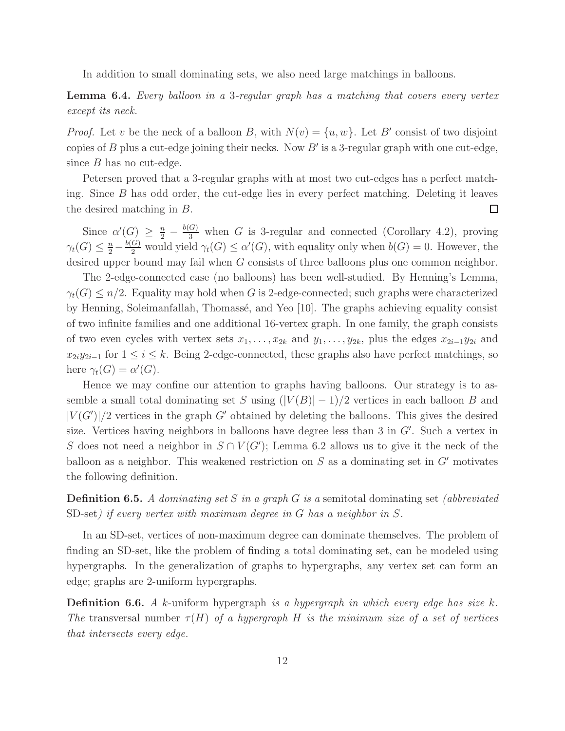In addition to small dominating sets, we also need large matchings in balloons.

Lemma 6.4. Every balloon in a 3-regular graph has a matching that covers every vertex except its neck.

*Proof.* Let v be the neck of a balloon B, with  $N(v) = \{u, w\}$ . Let B' consist of two disjoint copies of  $B$  plus a cut-edge joining their necks. Now  $B'$  is a 3-regular graph with one cut-edge, since  $B$  has no cut-edge.

Petersen proved that a 3-regular graphs with at most two cut-edges has a perfect matching. Since B has odd order, the cut-edge lies in every perfect matching. Deleting it leaves the desired matching in B.  $\Box$ 

Since  $\alpha'(G) \geq \frac{n}{2} - \frac{b(G)}{3}$  when G is 3-regular and connected (Corollary 4.2), proving  $\gamma_t(G) \leq \frac{n}{2} - \frac{b(G)}{2}$  would yield  $\gamma_t(G) \leq \alpha'(G)$ , with equality only when  $b(G) = 0$ . However, the desired upper bound may fail when G consists of three balloons plus one common neighbor.

The 2-edge-connected case (no balloons) has been well-studied. By Henning's Lemma,  $\gamma_t(G) \leq n/2$ . Equality may hold when G is 2-edge-connected; such graphs were characterized by Henning, Soleimanfallah, Thomassé, and Yeo [10]. The graphs achieving equality consist of two infinite families and one additional 16-vertex graph. In one family, the graph consists of two even cycles with vertex sets  $x_1, \ldots, x_{2k}$  and  $y_1, \ldots, y_{2k}$ , plus the edges  $x_{2i-1}y_{2i}$  and  $x_{2i}y_{2i-1}$  for  $1 \leq i \leq k$ . Being 2-edge-connected, these graphs also have perfect matchings, so here  $\gamma_t(G) = \alpha'(G)$ .

Hence we may confine our attention to graphs having balloons. Our strategy is to assemble a small total dominating set S using  $(|V(B)| - 1)/2$  vertices in each balloon B and  $|V(G')|/2$  vertices in the graph G' obtained by deleting the balloons. This gives the desired size. Vertices having neighbors in balloons have degree less than 3 in  $G'$ . Such a vertex in S does not need a neighbor in  $S \cap V(G')$ ; Lemma 6.2 allows us to give it the neck of the balloon as a neighbor. This weakened restriction on  $S$  as a dominating set in  $G'$  motivates the following definition.

**Definition 6.5.** A dominating set S in a graph G is a semitotal dominating set (abbreviated SD-set) if every vertex with maximum degree in G has a neighbor in S.

In an SD-set, vertices of non-maximum degree can dominate themselves. The problem of finding an SD-set, like the problem of finding a total dominating set, can be modeled using hypergraphs. In the generalization of graphs to hypergraphs, any vertex set can form an edge; graphs are 2-uniform hypergraphs.

**Definition 6.6.** A k-uniform hypergraph is a hypergraph in which every edge has size k. The transversal number  $\tau(H)$  of a hypergraph H is the minimum size of a set of vertices that intersects every edge.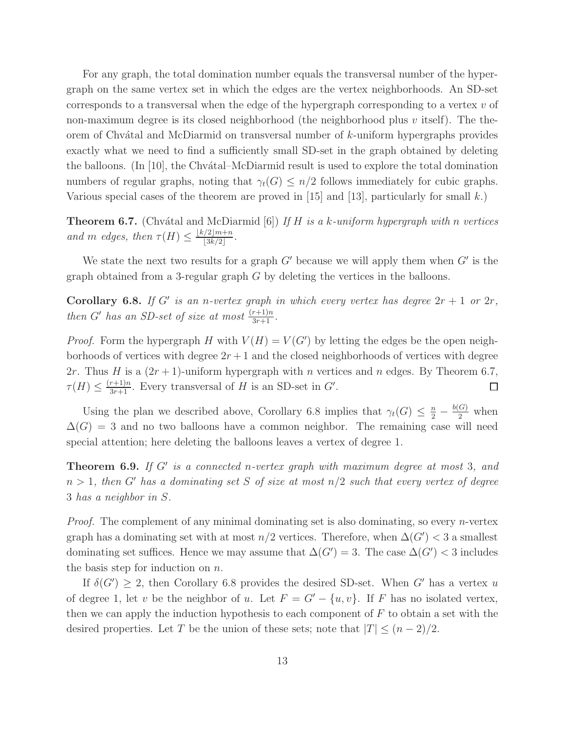For any graph, the total domination number equals the transversal number of the hypergraph on the same vertex set in which the edges are the vertex neighborhoods. An SD-set corresponds to a transversal when the edge of the hypergraph corresponding to a vertex  $v$  of non-maximum degree is its closed neighborhood (the neighborhood plus  $v$  itself). The theorem of Chvátal and McDiarmid on transversal number of  $k$ -uniform hypergraphs provides exactly what we need to find a sufficiently small SD-set in the graph obtained by deleting the balloons. (In [10], the Chv $\alpha$ tal–McDiarmid result is used to explore the total domination numbers of regular graphs, noting that  $\gamma_t(G) \leq n/2$  follows immediately for cubic graphs. Various special cases of the theorem are proved in [15] and [13], particularly for small k.)

**Theorem 6.7.** (Chvátal and McDiarmid [6]) If H is a k-uniform hypergraph with n vertices and m edges, then  $\tau(H) \leq \frac{\lfloor k/2 \rfloor m + n}{\lfloor 3k/2 \rfloor}$  $\frac{3k}{2}$ .

We state the next two results for a graph  $G'$  because we will apply them when  $G'$  is the graph obtained from a 3-regular graph  $G$  by deleting the vertices in the balloons.

Corollary 6.8. If G' is an n-vertex graph in which every vertex has degree  $2r + 1$  or  $2r$ , then G' has an SD-set of size at most  $\frac{(r+1)n}{3r+1}$ .

*Proof.* Form the hypergraph H with  $V(H) = V(G')$  by letting the edges be the open neighborhoods of vertices with degree  $2r + 1$  and the closed neighborhoods of vertices with degree 2r. Thus H is a  $(2r + 1)$ -uniform hypergraph with n vertices and n edges. By Theorem 6.7,  $\tau(H) \leq \frac{(r+1)n}{3r+1}$ . Every transversal of H is an SD-set in G'.  $\Box$ 

Using the plan we described above, Corollary 6.8 implies that  $\gamma_t(G) \leq \frac{n}{2} - \frac{b(G)}{2}$  when  $\Delta(G) = 3$  and no two balloons have a common neighbor. The remaining case will need special attention; here deleting the balloons leaves a vertex of degree 1.

**Theorem 6.9.** If  $G'$  is a connected n-vertex graph with maximum degree at most 3, and  $n > 1$ , then G' has a dominating set S of size at most  $n/2$  such that every vertex of degree 3 has a neighbor in S.

*Proof.* The complement of any minimal dominating set is also dominating, so every *n*-vertex graph has a dominating set with at most  $n/2$  vertices. Therefore, when  $\Delta(G') < 3$  a smallest dominating set suffices. Hence we may assume that  $\Delta(G') = 3$ . The case  $\Delta(G') < 3$  includes the basis step for induction on  $n$ .

If  $\delta(G') \geq 2$ , then Corollary 6.8 provides the desired SD-set. When G' has a vertex u of degree 1, let v be the neighbor of u. Let  $F = G' - \{u, v\}$ . If F has no isolated vertex, then we can apply the induction hypothesis to each component of  $F$  to obtain a set with the desired properties. Let T be the union of these sets; note that  $|T| \leq (n-2)/2$ .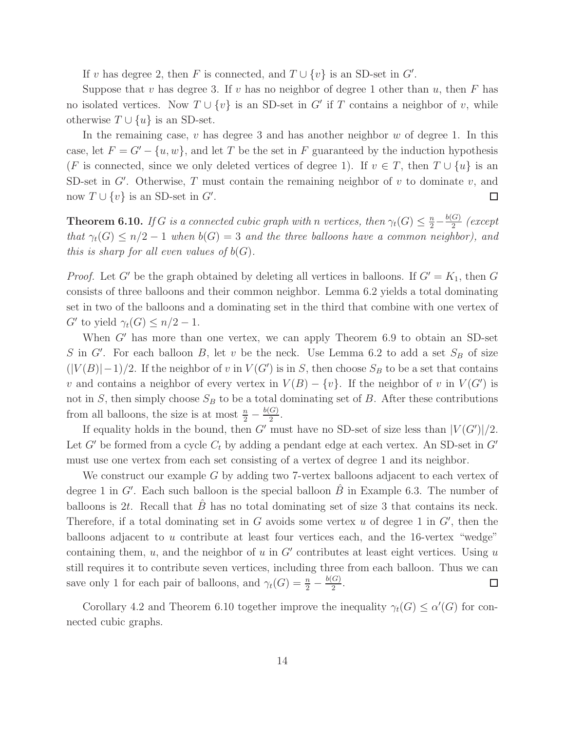If v has degree 2, then F is connected, and  $T \cup \{v\}$  is an SD-set in G'.

Suppose that v has degree 3. If v has no neighbor of degree 1 other than u, then F has no isolated vertices. Now  $T \cup \{v\}$  is an SD-set in G' if T contains a neighbor of v, while otherwise  $T \cup \{u\}$  is an SD-set.

In the remaining case,  $v$  has degree 3 and has another neighbor  $w$  of degree 1. In this case, let  $F = G' - \{u, w\}$ , and let T be the set in F guaranteed by the induction hypothesis (F is connected, since we only deleted vertices of degree 1). If  $v \in T$ , then  $T \cup \{u\}$  is an SD-set in  $G'$ . Otherwise,  $T$  must contain the remaining neighbor of  $v$  to dominate  $v$ , and now  $T \cup \{v\}$  is an SD-set in  $G'$ .  $\Box$ 

**Theorem 6.10.** If G is a connected cubic graph with n vertices, then  $\gamma_t(G) \leq \frac{n}{2} - \frac{b(G)}{2}$  $rac{G_1}{2}$  (except that  $\gamma_t(G) \leq n/2 - 1$  when  $b(G) = 3$  and the three balloons have a common neighbor), and this is sharp for all even values of  $b(G)$ .

*Proof.* Let G' be the graph obtained by deleting all vertices in balloons. If  $G' = K_1$ , then G consists of three balloons and their common neighbor. Lemma 6.2 yields a total dominating set in two of the balloons and a dominating set in the third that combine with one vertex of G' to yield  $\gamma_t(G) \leq n/2 - 1$ .

When  $G'$  has more than one vertex, we can apply Theorem 6.9 to obtain an SD-set S in G'. For each balloon B, let v be the neck. Use Lemma 6.2 to add a set  $S_B$  of size  $(|V(B)|-1)/2$ . If the neighbor of v in  $V(G')$  is in S, then choose S<sub>B</sub> to be a set that contains v and contains a neighbor of every vertex in  $V(B) - \{v\}$ . If the neighbor of v in  $V(G')$  is not in S, then simply choose  $S_B$  to be a total dominating set of B. After these contributions from all balloons, the size is at most  $\frac{n}{2} - \frac{b(G)}{2}$  $rac{G}{2}$ .

If equality holds in the bound, then G' must have no SD-set of size less than  $|V(G')|/2$ . Let G' be formed from a cycle  $C_t$  by adding a pendant edge at each vertex. An SD-set in G' must use one vertex from each set consisting of a vertex of degree 1 and its neighbor.

We construct our example G by adding two 7-vertex balloons adjacent to each vertex of degree 1 in G'. Each such balloon is the special balloon  $\hat{B}$  in Example 6.3. The number of balloons is 2t. Recall that  $\hat{B}$  has no total dominating set of size 3 that contains its neck. Therefore, if a total dominating set in  $G$  avoids some vertex  $u$  of degree 1 in  $G'$ , then the balloons adjacent to u contribute at least four vertices each, and the 16-vertex "wedge" containing them,  $u$ , and the neighbor of  $u$  in  $G'$  contributes at least eight vertices. Using  $u$ still requires it to contribute seven vertices, including three from each balloon. Thus we can save only 1 for each pair of balloons, and  $\gamma_t(G) = \frac{n}{2} - \frac{b(G)}{2}$  $\frac{(x)}{2}$ .  $\Box$ 

Corollary 4.2 and Theorem 6.10 together improve the inequality  $\gamma_t(G) \leq \alpha'(G)$  for connected cubic graphs.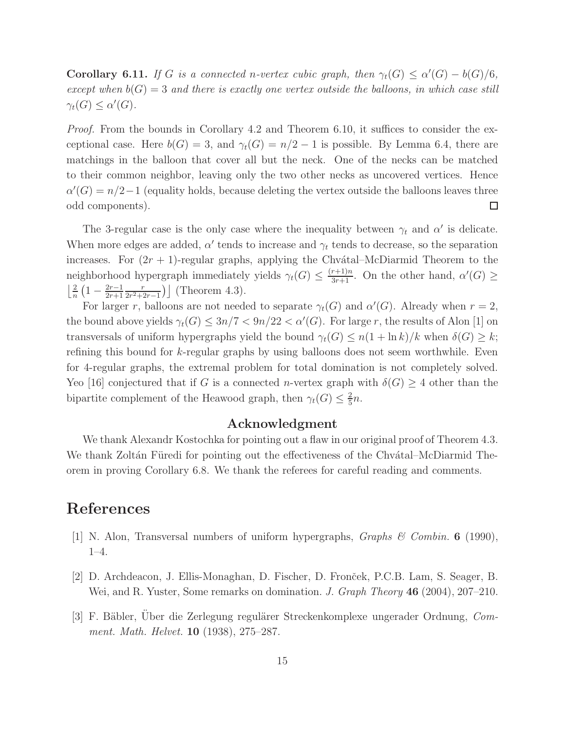**Corollary 6.11.** If G is a connected n-vertex cubic graph, then  $\gamma_t(G) \le \alpha'(G) - b(G)/6$ , except when  $b(G) = 3$  and there is exactly one vertex outside the balloons, in which case still  $\gamma_t(G) \leq \alpha'(G).$ 

*Proof.* From the bounds in Corollary 4.2 and Theorem 6.10, it suffices to consider the exceptional case. Here  $b(G) = 3$ , and  $\gamma_t(G) = n/2 - 1$  is possible. By Lemma 6.4, there are matchings in the balloon that cover all but the neck. One of the necks can be matched to their common neighbor, leaving only the two other necks as uncovered vertices. Hence  $\alpha'(G) = n/2 - 1$  (equality holds, because deleting the vertex outside the balloons leaves three odd components).  $\Box$ 

The 3-regular case is the only case where the inequality between  $\gamma_t$  and  $\alpha'$  is delicate. When more edges are added,  $\alpha'$  tends to increase and  $\gamma_t$  tends to decrease, so the separation increases. For  $(2r + 1)$ -regular graphs, applying the Chvátal–McDiarmid Theorem to the neighborhood hypergraph immediately yields  $\gamma_t(G) \leq \frac{(r+1)n}{3r+1}$ . On the other hand,  $\alpha'(G) \geq$  $\frac{2}{2}$  $\frac{2}{n}\left(1-\frac{2r-1}{2r+1}\right)$ 2r+1 r  $\frac{r}{2r^2+2r-1}$ ) (Theorem 4.3).

For larger r, balloons are not needed to separate  $\gamma_t(G)$  and  $\alpha'(G)$ . Already when  $r = 2$ , the bound above yields  $\gamma_t(G) \leq 3n/7 < 9n/22 < \alpha'(G)$ . For large r, the results of Alon [1] on transversals of uniform hypergraphs yield the bound  $\gamma_t(G) \leq n(1 + \ln k)/k$  when  $\delta(G) \geq k$ ; refining this bound for k-regular graphs by using balloons does not seem worthwhile. Even for 4-regular graphs, the extremal problem for total domination is not completely solved. Yeo [16] conjectured that if G is a connected n-vertex graph with  $\delta(G) \geq 4$  other than the bipartite complement of the Heawood graph, then  $\gamma_t(G) \leq \frac{2}{5}$  $\frac{2}{5}n$ .

### Acknowledgment

We thank Alexandr Kostochka for pointing out a flaw in our original proof of Theorem 4.3. We thank Zoltán Füredi for pointing out the effectiveness of the Chvátal–McDiarmid Theorem in proving Corollary 6.8. We thank the referees for careful reading and comments.

### References

- [1] N. Alon, Transversal numbers of uniform hypergraphs, *Graphs*  $\mathcal C$  *Combin.* 6 (1990), 1–4.
- [2] D. Archdeacon, J. Ellis-Monaghan, D. Fischer, D. Fronˇcek, P.C.B. Lam, S. Seager, B. Wei, and R. Yuster, Some remarks on domination. J. Graph Theory  $46$  (2004), 207–210.
- [3] F. Bäbler, Uber die Zerlegung regulärer Streckenkomplexe ungerader Ordnung, Comment. Math. Helvet. 10 (1938), 275–287.